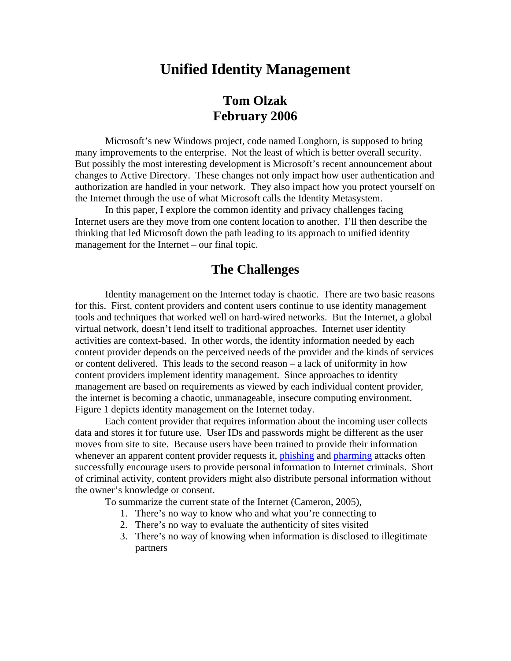## **Unified Identity Management**

## **Tom Olzak February 2006**

Microsoft's new Windows project, code named Longhorn, is supposed to bring many improvements to the enterprise. Not the least of which is better overall security. But possibly the most interesting development is Microsoft's recent announcement about changes to Active Directory. These changes not only impact how user authentication and authorization are handled in your network. They also impact how you protect yourself on the Internet through the use of what Microsoft calls the Identity Metasystem.

 In this paper, I explore the common identity and privacy challenges facing Internet users are they move from one content location to another. I'll then describe the thinking that led Microsoft down the path leading to its approach to unified identity management for the Internet – our final topic.

### **The Challenges**

 Identity management on the Internet today is chaotic. There are two basic reasons for this. First, content providers and content users continue to use identity management tools and techniques that worked well on hard-wired networks. But the Internet, a global virtual network, doesn't lend itself to traditional approaches. Internet user identity activities are context-based. In other words, the identity information needed by each content provider depends on the perceived needs of the provider and the kinds of services or content delivered. This leads to the second reason – a lack of uniformity in how content providers implement identity management. Since approaches to identity management are based on requirements as viewed by each individual content provider, the internet is becoming a chaotic, unmanageable, insecure computing environment. Figure 1 depicts identity management on the Internet today.

Each content provider that requires information about the incoming user collects data and stores it for future use. User IDs and passwords might be different as the user moves from site to site. Because users have been trained to provide their information whenever an apparent content provider requests it, [phishing](http://www.answers.com/topic/phishing?method=22) and [pharming](http://www.answers.com/topic/pharming) attacks often successfully encourage users to provide personal information to Internet criminals. Short of criminal activity, content providers might also distribute personal information without the owner's knowledge or consent.

To summarize the current state of the Internet (Cameron, 2005),

- 1. There's no way to know who and what you're connecting to
- 2. There's no way to evaluate the authenticity of sites visited
- 3. There's no way of knowing when information is disclosed to illegitimate partners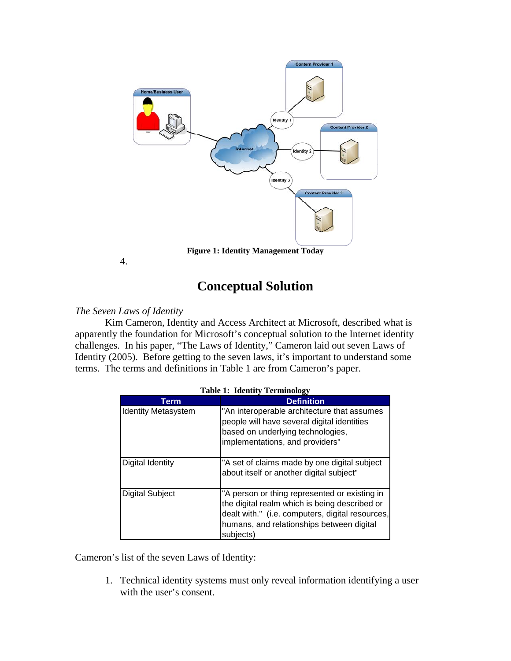

**Figure 1: Identity Management Today** 

4.

# **Conceptual Solution**

### *The Seven Laws of Identity*

Kim Cameron, Identity and Access Architect at Microsoft, described what is apparently the foundation for Microsoft's conceptual solution to the Internet identity challenges. In his paper, "The Laws of Identity," Cameron laid out seven Laws of Identity (2005). Before getting to the seven laws, it's important to understand some terms. The terms and definitions in Table 1 are from Cameron's paper.

| $\cdots$                   |                                                                                                                                                                                                              |
|----------------------------|--------------------------------------------------------------------------------------------------------------------------------------------------------------------------------------------------------------|
| Term                       | <b>Definition</b>                                                                                                                                                                                            |
| <b>Identity Metasystem</b> | "An interoperable architecture that assumes<br>people will have several digital identities<br>based on underlying technologies,<br>implementations, and providers"                                           |
| <b>Digital Identity</b>    | "A set of claims made by one digital subject<br>about itself or another digital subject"                                                                                                                     |
| <b>Digital Subject</b>     | "A person or thing represented or existing in<br>the digital realm which is being described or<br>dealt with." (i.e. computers, digital resources,<br>humans, and relationships between digital<br>subjects) |

**Table 1: Identity Terminology** 

Cameron's list of the seven Laws of Identity:

1. Technical identity systems must only reveal information identifying a user with the user's consent.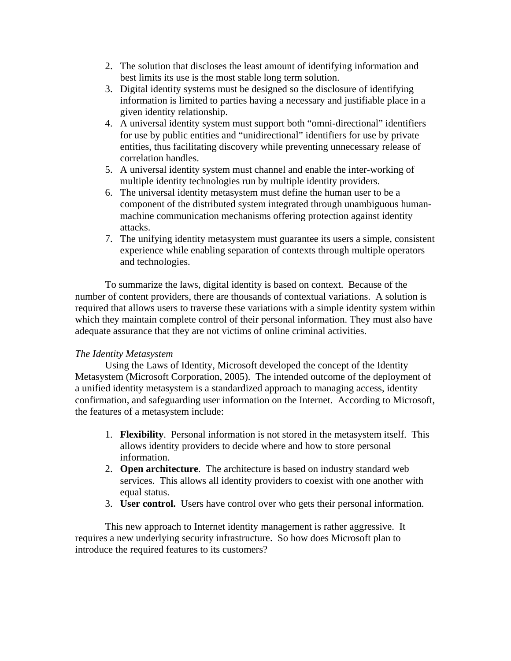- 2. The solution that discloses the least amount of identifying information and best limits its use is the most stable long term solution.
- 3. Digital identity systems must be designed so the disclosure of identifying information is limited to parties having a necessary and justifiable place in a given identity relationship.
- 4. A universal identity system must support both "omni-directional" identifiers for use by public entities and "unidirectional" identifiers for use by private entities, thus facilitating discovery while preventing unnecessary release of correlation handles.
- 5. A universal identity system must channel and enable the inter-working of multiple identity technologies run by multiple identity providers.
- 6. The universal identity metasystem must define the human user to be a component of the distributed system integrated through unambiguous humanmachine communication mechanisms offering protection against identity attacks.
- 7. The unifying identity metasystem must guarantee its users a simple, consistent experience while enabling separation of contexts through multiple operators and technologies.

To summarize the laws, digital identity is based on context. Because of the number of content providers, there are thousands of contextual variations. A solution is required that allows users to traverse these variations with a simple identity system within which they maintain complete control of their personal information. They must also have adequate assurance that they are not victims of online criminal activities.

### *The Identity Metasystem*

Using the Laws of Identity, Microsoft developed the concept of the Identity Metasystem (Microsoft Corporation, 2005). The intended outcome of the deployment of a unified identity metasystem is a standardized approach to managing access, identity confirmation, and safeguarding user information on the Internet. According to Microsoft, the features of a metasystem include:

- 1. **Flexibility**. Personal information is not stored in the metasystem itself. This allows identity providers to decide where and how to store personal information.
- 2. **Open architecture**. The architecture is based on industry standard web services. This allows all identity providers to coexist with one another with equal status.
- 3. **User control.** Users have control over who gets their personal information.

This new approach to Internet identity management is rather aggressive. It requires a new underlying security infrastructure. So how does Microsoft plan to introduce the required features to its customers?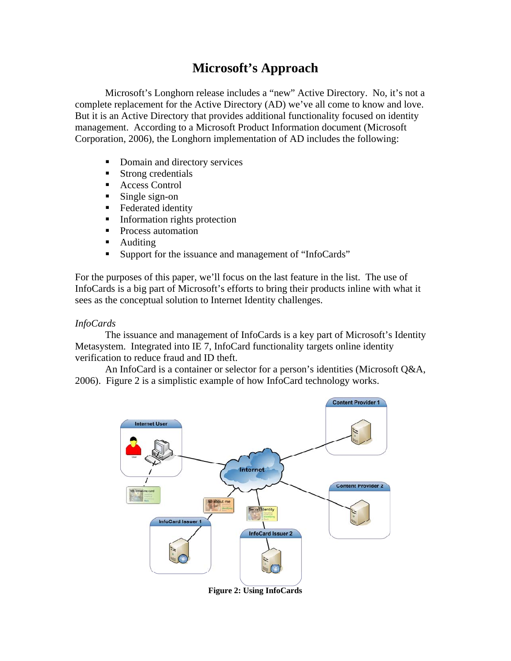# **Microsoft's Approach**

 Microsoft's Longhorn release includes a "new" Active Directory. No, it's not a complete replacement for the Active Directory (AD) we've all come to know and love. But it is an Active Directory that provides additional functionality focused on identity management. According to a Microsoft Product Information document (Microsoft Corporation, 2006), the Longhorn implementation of AD includes the following:

- Domain and directory services
- Strong credentials
- Access Control
- Single sign-on
- **Federated identity**
- **Information rights protection**
- **Process automation**
- **Auditing**
- Support for the issuance and management of "InfoCards"

For the purposes of this paper, we'll focus on the last feature in the list. The use of InfoCards is a big part of Microsoft's efforts to bring their products inline with what it sees as the conceptual solution to Internet Identity challenges.

#### *InfoCards*

 The issuance and management of InfoCards is a key part of Microsoft's Identity Metasystem. Integrated into IE 7, InfoCard functionality targets online identity verification to reduce fraud and ID theft.

 An InfoCard is a container or selector for a person's identities (Microsoft Q&A, 2006). Figure 2 is a simplistic example of how InfoCard technology works.



**Figure 2: Using InfoCards**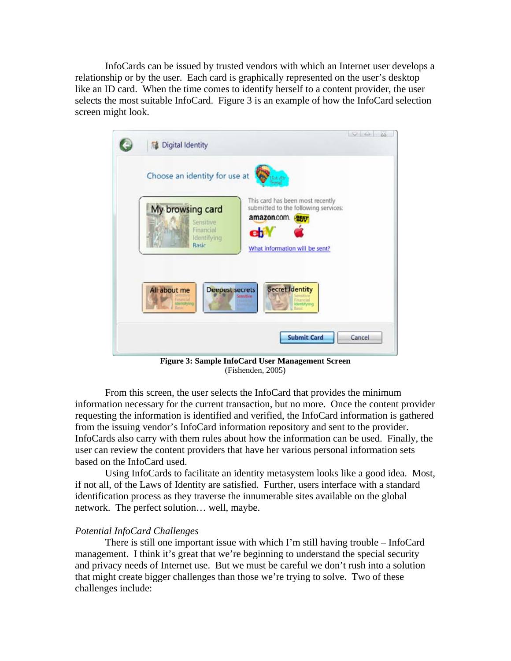InfoCards can be issued by trusted vendors with which an Internet user develops a relationship or by the user. Each card is graphically represented on the user's desktop like an ID card. When the time comes to identify herself to a content provider, the user selects the most suitable InfoCard. Figure 3 is an example of how the InfoCard selection screen might look.



**Figure 3: Sample InfoCard User Management Screen**  (Fishenden, 2005)

 From this screen, the user selects the InfoCard that provides the minimum information necessary for the current transaction, but no more. Once the content provider requesting the information is identified and verified, the InfoCard information is gathered from the issuing vendor's InfoCard information repository and sent to the provider. InfoCards also carry with them rules about how the information can be used. Finally, the user can review the content providers that have her various personal information sets based on the InfoCard used.

 Using InfoCards to facilitate an identity metasystem looks like a good idea. Most, if not all, of the Laws of Identity are satisfied. Further, users interface with a standard identification process as they traverse the innumerable sites available on the global network. The perfect solution… well, maybe.

#### *Potential InfoCard Challenges*

 There is still one important issue with which I'm still having trouble – InfoCard management. I think it's great that we're beginning to understand the special security and privacy needs of Internet use. But we must be careful we don't rush into a solution that might create bigger challenges than those we're trying to solve. Two of these challenges include: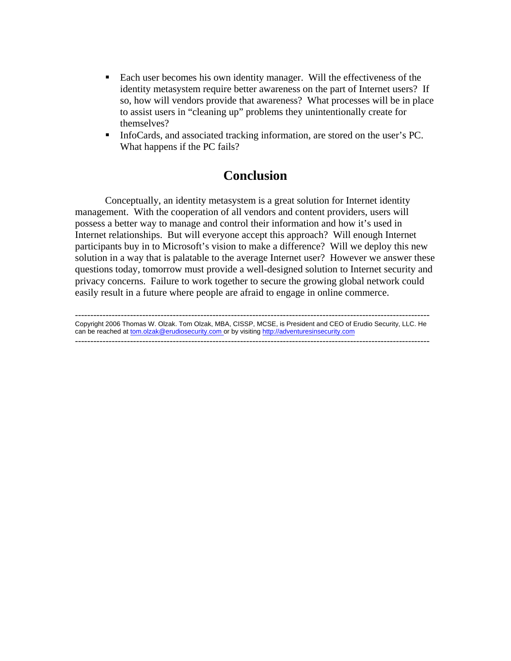- Each user becomes his own identity manager. Will the effectiveness of the identity metasystem require better awareness on the part of Internet users? If so, how will vendors provide that awareness? What processes will be in place to assist users in "cleaning up" problems they unintentionally create for themselves?
- InfoCards, and associated tracking information, are stored on the user's PC. What happens if the PC fails?

## **Conclusion**

 Conceptually, an identity metasystem is a great solution for Internet identity management. With the cooperation of all vendors and content providers, users will possess a better way to manage and control their information and how it's used in Internet relationships. But will everyone accept this approach? Will enough Internet participants buy in to Microsoft's vision to make a difference? Will we deploy this new solution in a way that is palatable to the average Internet user? However we answer these questions today, tomorrow must provide a well-designed solution to Internet security and privacy concerns. Failure to work together to secure the growing global network could easily result in a future where people are afraid to engage in online commerce.

-------------------------------------------------------------------------------------------------------------------- Copyright 2006 Thomas W. Olzak. Tom Olzak, MBA, CISSP, MCSE, is President and CEO of Erudio Security, LLC. He can be reached at tom.olzak@erudiosecurity.com or by visiting http://adventuresinsecurity.com --------------------------------------------------------------------------------------------------------------------